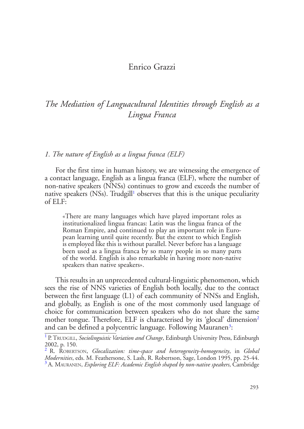# Enrico Grazzi

# *The Mediation of Languacultural Identities through English as a Lingua Franca*

#### *1. The nature of English as a lingua franca (ELF)*

For the first time in human history, we are witnessing the emergence of a contact language, English as a lingua franca (ELF), where the number of non-native speakers (NNSs) continues to grow and exceeds the number of native speakers (NSs). Trudgill<sup>1</sup> observes that this is the unique peculiarity of ELF:

<span id="page-0-4"></span><span id="page-0-3"></span>«There are many languages which have played important roles as institutionalized lingua francas: Latin was the lingua franca of the Roman Empire, and continued to play an important role in European learning until quite recently. But the extent to which English is employed like this is without parallel. Never before has a language been used as a lingua franca by so many people in so many parts of the world. English is also remarkable in having more non-native speakers than native speakers».

This results in an unprecedented cultural-linguistic phenomenon, which sees the rise of NNS varieties of English both locally, due to the contact between the first language (L1) of each community of NNSs and English, and globally, as English is one of the most commonly used language of choice for communication between speakers who do not share the same mother tongue. Therefore, ELF is characterised by its 'glocal' dimension<sup>[2](#page-0-1)</sup> and can be defined a polycentric language. Following Mauranen<sup>[3](#page-0-2)</sup>:

<span id="page-0-5"></span><span id="page-0-0"></span><sup>&</sup>lt;sup>[1](#page-0-3)</sup> P. TRUDGILL, *Sociolinguistic Variation and Change*, Edinburgh University Press, Edinburgh  $2002$ , p. 150.<br> $\frac{2002}{R}$ , p. 00.

<span id="page-0-2"></span><span id="page-0-1"></span>[<sup>2</sup>](#page-0-4) R. Robertson, *Glocalization: time-space and heterogeneity-homogeneity*, in *Global Modernities*, eds. M. Feathersone, S. Lash, R. Robertson, Sage, London 1995, pp. 25-44.<br><sup>[3](#page-0-5)</sup> A. MAURANEN, *Exploring ELF: Academic English shaped by non-native speakers*, Cambridge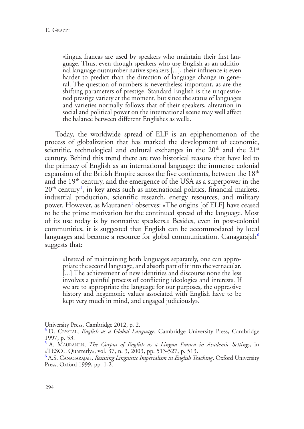«lingua francas are used by speakers who maintain their first lan-<br>guage. Thus, even though speakers who use English as an additio-<br>nal language outnumber native speakers [...], their influence is even harder to predict than the direction of language change in gene- ral. The question of numbers is nevertheless important, as are the shifting parameters of prestige. Standard English is the unquestio- ned prestige variety at the moment, but since the status of languages and varieties normally follows that of their speakers, alteration in social and political power on the international scene may well affect the balance between different Englishes as well».

<span id="page-1-3"></span>Today, the worldwide spread of ELF is an epiphenomenon of the process of globalization that has marked the development of economic, scientific, technological and cultural exchanges in the  $20<sup>th</sup>$  and the  $21<sup>st</sup>$ century. Behind this trend there are two historical reasons that have led to the primacy of English as an international language: the immense colonial expansion of the British Empire across the five continents, between the  $18<sup>th</sup>$ and the 19<sup>th</sup> century, and the emergence of the USA as a superpower in the  $20<sup>th</sup>$  century<sup>[4](#page-1-0)</sup>, in key areas such as international politics, financial markets, industrial production, scientific research, energy resources, and military power. However, as Mauranen<sup>[5](#page-1-1)</sup> observes: «The origins [of ELF] have ceased to be the prime motivation for the continued spread of the language. Most of its use today is by nonnative speakers.» Besides, even in post-colonial communities, it is suggested that English can be accommodated by local languages and become a resource for global communication. Canagarajah $6\,$  $6\,$ suggests that:

<span id="page-1-5"></span><span id="page-1-4"></span>«Instead of maintaining both languages separately, one can appro- priate the second language, and absorb part of it into the vernacular. [...] The achievement of new identities and discourse none the less involves a painful process of conflicting ideologies and interests. If we are to appropriate the language for our purposes, the oppressive history and hegemonic values associated with English have to be kept very much in mind, and engaged judiciously».

<span id="page-1-0"></span>

University Press, Cambridge 2012, p. 2.<br><sup>[4](#page-1-3)</sup> D. CRYSTAL, *English as a Global Language*, Cambridge University Press, Cambridge 1997, p. 53.

<span id="page-1-1"></span>[<sup>5</sup>](#page-1-4) A. Mauranen, *The Corpus of English as a Lingua Franca in Academic Settings*, in «TESOL Quarterly», vol. 37, n. 3, 2003, pp. 513-527, p. 513.<br><sup>[6](#page-1-5)</sup> A.S. CANAGARAJAH, *Resisting Linguistic Imperialism in English Teaching*, Oxford University

<span id="page-1-2"></span>Press, Oxford 1999, pp. 1-2.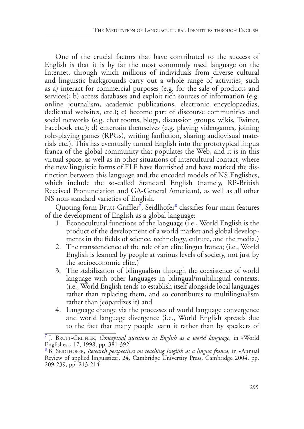One of the crucial factors that have contributed to the success of English is that it is by far the most commonly used language on the Internet, through which millions of individuals from diverse cultural and linguistic backgrounds carry out a whole range of activities, such as a) interact for commercial purposes (e.g. for the sale of products and services); b) access databases and exploit rich sources of information (e.g. online journalism, academic publications, electronic encyclopaedias, dedicated websites, etc.); c) become part of discourse communities and social networks (e.g. chat rooms, blogs, discussion groups, wikis, Twitter, Facebook etc.); d) entertain themselves (e.g. playing videogames, joining role-playing games (RPGs), writing fanfiction, sharing audiovisual materials etc.). This has eventually turned English into the prototypical lingua franca of the global community that populates the Web, and it is in this virtual space, as well as in other situations of intercultural contact, where the new linguistic forms of ELF have flourished and have marked the distinction between this language and the encoded models of NS Englishes, which include the so-called Standard English (namely, RP-British Received Pronunciation and GA-General American), as well as all other NS non-standard varieties of English.

Quoting form Brutt-Griffler<sup>[7](#page-2-0)</sup>, Seidlhofer<sup>[8](#page-2-1)</sup> classifies four main features of the development of English as a global language:

- <span id="page-2-3"></span><span id="page-2-2"></span>1. Econocultural functions of the language (i.e., World English is the product of the development of a world market and global developments in the fields of science, technology, culture, and the media.)
- 2. The transcendence of the role of an elite lingua franca; (i.e., World English is learned by people at various levels of society, not just by the socioeconomic elite.)
- 3. The stabilization of bilingualism through the coexistence of world language with other languages in bilingual/multilingual contexts; (i.e., World English tends to establish itself alongside local languages rather than replacing them, and so contributes to multilingualism rather than jeopardizes it) and
- 4. Language change via the processes of world language convergence and world language divergence (i.e., World English spreads due to the fact that many people learn it rather than by speakers of

<span id="page-2-0"></span><sup>&</sup>lt;sup>[7](#page-2-2)</sup> J. BRUTT-GRIFFLER, *Conceptual questions in English as a world language*, in «World Englishes», 17, 1998, pp. 381-392.

<span id="page-2-1"></span>[<sup>8</sup>](#page-2-3) B. Seidlhofer, *Research perspectives on teaching English as a lingua franca*, in «Annual Review of applied linguistics», 24, Cambridge University Press, Cambridge 2004, pp. 209-239, pp. 213-214.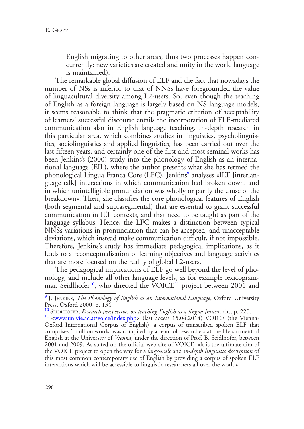English migrating to other areas; thus two processes happen concurrently: new varieties are created and unity in the world language is maintained).

<span id="page-3-3"></span>The remarkable global diffusion of ELF and the fact that nowadays the number of NSs is inferior to that of NNSs have foregrounded the value of linguacultural diversity among L2-users. So, even though the teaching of English as a foreign language is largely based on NS language models, it seems reasonable to think that the pragmatic criterion of acceptability of learners' successful discourse entails the incorporation of ELF-mediated communication also in English language teaching. In-depth research in this particular area, which combines studies in linguistics, psycholinguistics, sociolinguistics and applied linguistics, has been carried out over the last fifteen years, and certainly one of the first and most seminal works has been Jenkins's (2000) study into the phonology of English as an international language (EIL), where the author presents what she has termed the phonological Lingua Franca Core (LFC). Jenkins<sup>[9](#page-3-0)</sup> analyses «ILT [interlanguage talk] interactions in which communication had broken down, and in which unintelligible pronunciation was wholly or partly the cause of the breakdown». Then, she classifies the core phonological features of English (both segmental and suprasegmental) that are essential to grant successful communication in ILT contexts, and that need to be taught as part of the language syllabus. Hence, the LFC makes a distinction between typical NNSs variations in pronunciation that can be accepted, and unacceptable deviations, which instead make communication difficult, if not impossible. Therefore, Jenkins's study has immediate pedagogical implications, as it leads to a reconceptualisation of learning objectives and language activities that are more focused on the reality of global L2-users.

The pedagogical implications of ELF go well beyond the level of phonology, and include all other language levels, as for example lexicogrammar. Seidlhofer<sup>10</sup>, who directed the VOICE<sup>11</sup> project between 2001 and

<span id="page-3-5"></span><span id="page-3-4"></span><span id="page-3-0"></span>[<sup>9</sup>](#page-3-3) J. Jenkins, *The Phonology of English as an International Language*, Oxford University Press, Oxford 2000, p. 134.

<span id="page-3-2"></span>

<span id="page-3-1"></span><sup>&</sup>lt;sup>[10](#page-3-4)</sup> SEIDLHOFER, *Research perspectives on teaching English as a lingua franca*, cit., p. 220.<br><sup>[11](#page-3-5)</sup> <[www.univie.ac.at/voice/index.php>](www.univie.ac.at/voice/index.php) (last access 15.04.2014) VOICE (the Vienna-Oxford International Corpus of English), a corpus of transcribed spoken ELF that comprises 1 million words, was compiled by a team of researchers at the Department of English at the University of *Vienna*, under the direction of Prof. B. Seidlhofer, between 2001 and 2009. As stated on the official web site of VOICE: «It is the ultimate aim of the VOICE project to open the way for a *large-scale* and *in-depth linguistic description* of this most common contemporary use of English by providing a corpus of spoken ELF interactions which will be accessible to linguistic researchers all over the world».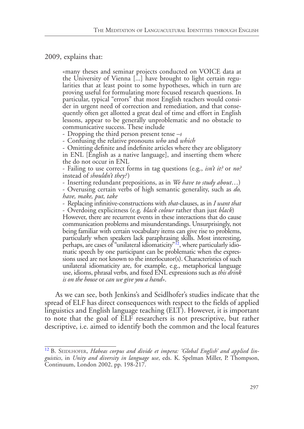#### 2009, explains that:

«many theses and seminar projects conducted on VOICE data at larities that at least point to some hypotheses, which in turn are proving useful for formulating more focused research questions. In particular, typical "errors" that most English teachers would consider in urgent need of correction and remediation, and that conse- quently often get allotted a great deal of time and effort in English lessons, appear to be generally unproblematic and no obstacle to communicative success. These include

- Dropping the third person present tense *–s* - Confusing the relative pronouns *who* and *which* - Omitting definite and indefinite articles where they are obligatory in ENL [English as a native language], and inserting them where the do not occur in ENL

- Failing to use correct forms in tag questions (e.g., *isn't it?* or *no?*  instead of *shouldn't they?*) - Inserting redundant prepositions, as in *We have to study about*…) - Overusing certain verbs of high semantic generality, such as *do,* 

*have, make, put, take*

- Replacing infinitive-constructions with *that*-clauses, as in *I want that*

- Overdoing explicitness (e.g*. black colour* rather than just *black*)

<span id="page-4-1"></span>However, there are recurrent events in these interactions that do cause communication problems and misunderstandings. Unsurprisingly, not being familiar with certain vocabulary items can give rise to problems, particularly when speakers lack paraphrasing skills. Most interesting, perhaps, are cases of "unilateral idiomaticity" $\frac{1}{2}$ , where particularly idiomatic speech by one participant can be problematic when the expressions used are not known to the interlocutor(s). Characteristics of such unilateral idiomaticity are, for example, e.g., metaphorical language use, idioms, phrasal verbs, and fixed ENL expressions such as *this drink is on the house* or *can we give you a hand*».

As we can see, both Jenkins's and Seidlhofer's studies indicate that the spread of ELF has direct consequences with respect to the fields of applied linguistics and English language teaching (ELT). However, it is important to note that the goal of ELF researchers is not prescriptive, but rather descriptive, i.e. aimed to identify both the common and the local features

<span id="page-4-0"></span><sup>&</sup>lt;sup>[12](#page-4-1)</sup> B. SEIDLHOFER, *Habeas corpus and divide et impera: 'Global English' and applied linguistics*, in *Unity and diversity in language use*, eds. K. Spelman Miller, P. Thompson, Continuum, London 2002, pp. 198-217.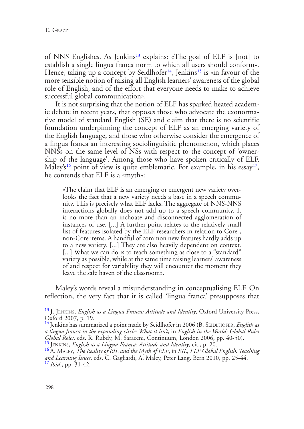<span id="page-5-7"></span><span id="page-5-6"></span><span id="page-5-5"></span>of NNS Englishes. As Jenkins<sup>[13](#page-5-0)</sup> explains: «The goal of ELF is [not] to establish a single lingua franca norm to which all users should conform». Hence, taking up a concept by Seidlhofer<sup>[14](#page-5-1)</sup>, Jenkins<sup>[15](#page-5-2)</sup> is «in favour of the more sensible notion of raising all English learners' awareness of the global role of English, and of the effort that everyone needs to make to achieve successful global communication».

It is not surprising that the notion of ELF has sparked heated academic debate in recent years, that opposes those who advocate the exonormative model of standard English (SE) and claim that there is no scientific foundation underpinning the concept of ELF as an emerging variety of the English language, and those who otherwise consider the emergence of a lingua franca an interesting sociolinguisitic phenomenon, which places NNSs on the same level of NSs with respect to the concept of 'ownership of the language'. Among those who have spoken critically of ELF, Maley's<sup>[16](#page-5-3)</sup> point of view is quite emblematic. For example, in his essay<sup>[17](#page-5-4)</sup>, he contends that ELF is a «myth»:

<span id="page-5-9"></span><span id="page-5-8"></span>«The claim that ELF is an emerging or emergent new variety over- looks the fact that a new variety needs a base in a speech commu- nity. This is precisely what ELF lacks. The aggregate of NNS-NNS interactions globally does not add up to a speech community. It is no more than an inchoate and disconnected agglomeration of instances of use. [...] A further point relates to the relatively small list of features isolated by the ELF researchers in relation to Core-, non-Core items. A handful of common new features hardly adds up to a new variety. [...] They are also heavily dependent on context. [...] What we can do is to teach something as close to a "standard" variety as possible, while at the same time raising learners' awareness of and respect for variability they will encounter the moment they leave the safe haven of the classroom».

Maley's words reveal a misunderstanding in conceptualising ELF. On reflection, the very fact that it is called 'lingua franca' presupposes that

<span id="page-5-0"></span>[<sup>13</sup>](#page-5-5) J. Jenkins, *English as a Lingua Franca: Attitude and Identity*, Oxford University Press, Oxford 2007, p. 19.

<span id="page-5-1"></span>[<sup>14</sup>](#page-5-6) Jenkins has summarized a point made by Seidlhofer in 2006 (B. Seidlhofer, *English as a lingua franca in the expanding circle: What it isn't*, in *English in the World: Global Rules*  Global Roles, eds. R. Rubdy, M. Saraceni, Continuum, London 2006, pp. 40-50).<br><sup>[15](#page-5-7)</sup> JENKINS, *English as a Lingua Franca: Attitude and Identity*, cit., p. 20.<br><sup>[16](#page-5-8)</sup> A. MALEY, *The Reality of EIL and the Myth of ELF*, in *EIL* 

<span id="page-5-4"></span><span id="page-5-3"></span><span id="page-5-2"></span>*and Learning Issues*, eds. C. Gagliardi, A. Maley, Peter Lang, Bern 2010, pp. 25-44. [17](#page-5-9) *Ibid*., pp. 31-42.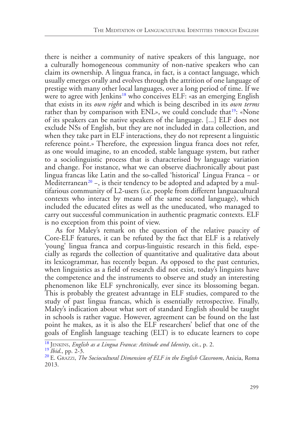<span id="page-6-4"></span><span id="page-6-3"></span>there is neither a community of native speakers of this language, nor a culturally homogeneous community of non-native speakers who can claim its ownership. A lingua franca, in fact, is a contact language, which usually emerges orally and evolves through the attrition of one language of prestige with many other local languages, over a long period of time. If we were to agree with Jenkins<sup>[18](#page-6-0)</sup> who conceives ELF: «as an emerging English that exists in its *own right* and which is being described in its *own terms* rather than by comparison with  $ENL$ », we could conclude that <sup>[19](#page-6-1)</sup>: «None of its speakers can be native speakers of the language. [...] ELF does not exclude NSs of English, but they are not included in data collection, and when they take part in ELF interactions, they do not represent a linguistic reference point.» Therefore, the expression lingua franca does not refer, as one would imagine, to an encoded, stable language system, but rather to a sociolinguistic process that is characterised by language variation and change. For instance, what we can observe diachronically about past lingua francas like Latin and the so-called 'historical' Lingua Franca − or Mediterranean<sup>[20](#page-6-2)</sup> –, is their tendency to be adopted and adapted by a multifarious community of L2-users (i.e. people from different languacultural contexts who interact by means of the same second language), which included the educated elites as well as the uneducated, who managed to carry out successful communication in authentic pragmatic contexts. ELF is no exception from this point of view.

<span id="page-6-5"></span>As for Maley's remark on the question of the relative paucity of Core-ELF features, it can be refuted by the fact that ELF is a relatively 'young' lingua franca and corpus-linguistic research in this field, especially as regards the collection of quantitative and qualitative data about its lexicogrammar, has recently begun. As opposed to the past centuries, when linguistics as a field of research did not exist, today's linguists have the competence and the instruments to observe and study an interesting phenomenon like ELF synchronically, ever since its blossoming began. This is probably the greatest advantage in ELF studies, compared to the study of past lingua francas, which is essentially retrospective. Finally, Maley's indication about what sort of standard English should be taught in schools is rather vague. However, agreement can be found on the last point he makes, as it is also the ELF researchers' belief that one of the goals of English language teaching (ELT) is to educate learners to cope

<span id="page-6-1"></span><span id="page-6-0"></span><sup>&</sup>lt;sup>[18](#page-6-3)</sup> JENKINS, *English as a Lingua Franca: Attitude and Identity*, cit., p. 2.<br><sup>[19](#page-6-4)</sup> *Ibid.*, pp. 2-3.<br><sup>[20](#page-6-5)</sup> E. Grazzi, *The Sociocultural Dimension of ELF in the English Classroom*, Anicia, Roma

<span id="page-6-2"></span><sup>2013.</sup>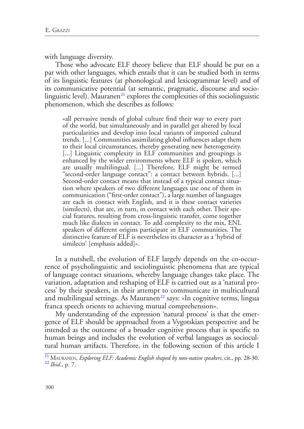with language diversity.

Those who advocate ELF theory believe that ELF should be put on a par with other languages, which entails that it can be studied both in terms of its linguistic features (at phonological and lexicogrammar level) and of its communicative potential (at semantic, pragmatic, discourse and socio-linguistic level). Mauranen<sup>[21](#page-7-0)</sup> explores the complexities of this sociolinguistic phenomenon, which she describes as follows:

<span id="page-7-2"></span>«all pervasive trends of global culture find their way to every part of the world, but simultaneously and in parallel get altered by local particularities and develop into local variants of imported cultural trends. [...] Communities assimilating global influences adapt them to their local circumstances, thereby generating new heterogeneity. [...] Linguistic complexity in ELF communities and groupings is enhanced by the wider environments where ELF is spoken, which are usually multilingual. [...] Therefore, ELF might be termed "second-order language contact": a contact between hybrids. [...] Second-order contact means that instead of a typical contact situa- tion where speakers of two different languages use one of them in communication ("first-order contact"), a large number of languages are each in contact with English, and it is these contact varieties (similects), that are, in turn, in contact with each other. Their special features, resulting from cross-linguistic transfer, come together much like dialects in contact. To add complexity to the mix, ENL speakers of different origins participate in ELF communities. The distinctive feature of ELF is nevertheless its character as a 'hybrid of similects' [emphasis added]».

In a nutshell, the evolution of ELF largely depends on the co-occurrence of psycholinguistic and sociolinguistic phenomena that are typical of language contact situations, whereby language changes take place. The variation, adaptation and reshaping of ELF is carried out as a 'natural process' by their speakers, in their attempt to communicate in multicultural and multilingual settings. As Mauranen<sup>[22](#page-7-1)</sup> says: «In cognitive terms, lingua franca speech orients to achieving mutual comprehension».

<span id="page-7-3"></span>My understanding of the expression 'natural process' is that the emergence of ELF should be approached from a Vygotskian perspective and be intended as the outcome of a broader cognitive process that is specific to human beings and includes the evolution of verbal languages as sociocultural human artifacts. Therefore, in the following section of this article I

<span id="page-7-1"></span><span id="page-7-0"></span>[<sup>21</sup>](#page-7-2) Mauranen, *Exploring ELF: Academic English shaped by non-native speakers*, cit., pp. 28-30. [22](#page-7-3) *Ibid*., p. 7.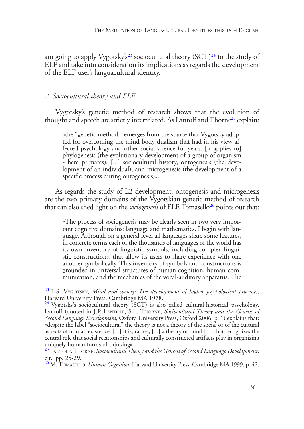<span id="page-8-5"></span><span id="page-8-4"></span>am going to apply Vygotsky's<sup>23</sup> sociocultural theory  $(SCT)^{24}$  $(SCT)^{24}$  $(SCT)^{24}$  to the study of ELF and take into consideration its implications as regards the development of the ELF user's languacultural identity.

## *2. Sociocultural theory and ELF*

<span id="page-8-6"></span>Vygotsky's genetic method of research shows that the evolution of thought and speech are strictly interrelated. As Lantolf and Thorne<sup>25</sup> explain:

«the "genetic method", emerges from the stance that Vygotsky adop-<br>ted for overcoming the mind-body dualism that had in his view af-<br>fected psychology and other social science for years. [It applies to] phylogenesis (the evolutionary development of a group of organism - here primates), [...] sociocultural history, ontogenesis (the deve- lopment of an individual), and microgenesis (the development of a specific process during ontogenesis)».

As regards the study of L2 development, ontogenesis and microgenesis are the two primary domains of the Vygotskian genetic method of research that can also shed light on the *sociogenesis* of ELF. Tomasello<sup>[26](#page-8-3)</sup> points out that:

<span id="page-8-7"></span>«The process of sociogenesis may be clearly seen in two very impor-<br>tant cognitive domains: language and mathematics. I begin with lan-<br>guage. Although on a general level all languages share some features, in concrete terms each of the thousands of languages of the world has its own inventory of linguistic symbols, including complex lingui- stic constructions, that allow its users to share experience with one another symbolically. This inventory of symbols and constructions is grounded in universal structures of human cognition, human com- munication, and the mechanics of the vocal-auditory apparatus. The

<span id="page-8-0"></span><sup>&</sup>lt;sup>[23](#page-8-4)</sup> L.S. VYGOTSKY, *Mind and society: The development of higher psychological processes*, Harvard University Press, Cambridge MA 1978.

<span id="page-8-1"></span><sup>&</sup>lt;sup>[24](#page-8-5)</sup> Vygotsky's sociocultural theory (SCT) is also called cultural-historical psychology. Lantolf (quoted in J.P. Lantolf, S.L. Thorne, *Sociocultural Theory and the Genesis of Second Language Development*, Oxford University Press, Oxford 2006, p. 1) explains that: «despite the label "sociocultural" the theory is not a theory of the social or of the cultural aspects of human existence. [...] it is, rather, [...] a theory of mind [...] that recognizes the central role that social relationships and culturally constructed artifacts play in organizing uniquely human forms of thinking».

<span id="page-8-2"></span>[<sup>25</sup>](#page-8-6)Lantolf, Thorne, *Sociocultural Theory and the Genesis of Second Language Development*, cit., pp. 25-29.

<span id="page-8-3"></span>[<sup>26</sup>](#page-8-7) M. Tomasello, *Human Cognition*, Harvard University Press, Cambridge MA 1999, p. 42.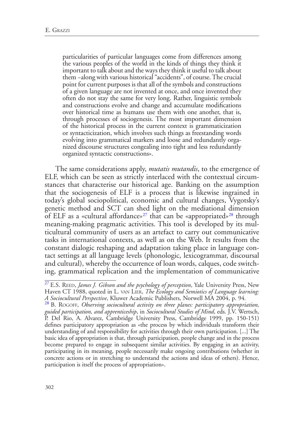particularities of particular languages come from differences among the various peoples of the world in the kinds of things they think it important to talk about and the ways they think it useful to talk about them −along with various historical "accidents", of course. The crucial point for current purposes is that all of the symbols and constructions of a given language are not invented at once, and once invented they often do not stay the same for very long. Rather, linguistic symbols and constructions evolve and change and accumulate modifications over historical time as humans use them with one another, that is, through processes of sociogenesis. The most important dimension of the historical process in the current context is grammaticization or syntacticization, which involves such things as freestanding words evolving into grammatical markers and loose and redundantly orga- nized discourse structures congealing into tight and less redundantly organized syntactic constructions».

<span id="page-9-3"></span><span id="page-9-2"></span>The same considerations apply, *mutatis mutandis*, to the emergence of ELF, which can be seen as strictly interlaced with the contextual circumstances that characterise our historical age. Banking on the assumption that the sociogenesis of ELF is a process that is likewise ingrained in today's global sociopolitical, economic and cultural changes, Vygotsky's genetic method and SCT can shed light on the mediational dimension of ELF as a «cultural affordance»<sup>[27](#page-9-0)</sup> that can be «appropriated»<sup>28</sup> through meaning-making pragmatic activities. This tool is developed by its multicultural community of users as an artefact to carry out communicative tasks in international contexts, as well as on the Web. It results from the constant dialogic reshaping and adaptation taking place in language contact settings at all language levels (phonologic, lexicogrammar, discoursal and cultural), whereby the occurrence of loan words, calques, code switching, grammatical replication and the implementation of communicative

<span id="page-9-0"></span><sup>&</sup>lt;sup>[27](#page-9-2)</sup> E.S. REED, *James J. Gibson and the psychology of perception*, Yale University Press, New Haven CT 1988, quoted in L. van LIER, *The Ecology and Semiotics of Language learning: A Sociocultural Perspective*, Kluwer Academic Publishers, Norwell MA 2004, p. 94.

<span id="page-9-1"></span><sup>&</sup>lt;sup>[28](#page-9-3)</sup> B. ROGOFF, *Observing sociocultural activity on three planes: participatory appropriation*, *guided participation, and apprenticeship*, in *Sociocultural Studies of Mind*, eds. J.V. Wertsch, P. Del Rio, A. Alvarez, Cambridge University Press, Cambridge 1999, pp. 150-151) defines participatory appropriation as «the process by which individuals transform their understanding of and responsibility for activities through their own participation. [...] The basic idea of appropriation is that, through participation, people change and in the process become prepared to engage in subsequent similar activities. By engaging in an activity, participating in its meaning, people necessarily make ongoing contributions (whether in concrete actions or in stretching to understand the actions and ideas of others). Hence, participation is itself the process of appropriation».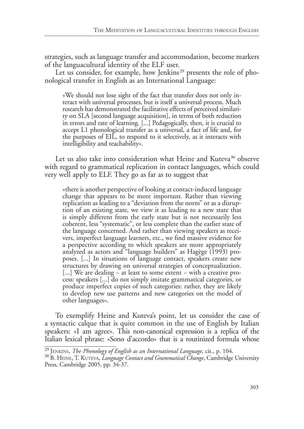strategies, such as language transfer and accommodation, become markers of the languacultural identity of the ELF user.

<span id="page-10-2"></span>Let us consider, for example, how Jenkins<sup>[29](#page-10-0)</sup> presents the role of phonological transfer in English as an International Language:

«We should not lose sight of the fact that transfer does not only interact with universal processes, but is itself a universal process. Much research has demonstrated the facilitative effects of perceived similari- ty on SLA [second language acquisition], in terms of both reduction in errors and rate of learning. [...] Pedagogically, then, it is crucial to accept L1 phonological transfer as a universal, a fact of life and, for the purposes of EIL, to respond to it selectively, as it interacts with intelligibility and teachability».

<span id="page-10-3"></span>Let us also take into consideration what Heine and Kuteva<sup>30</sup> observe with regard to grammatical replication in contact languages, which could very well apply to ELF. They go as far as to suggest that

«there is another perspective of looking at contact-induced language change that appears to be more important. Rather than viewing replication as leading to a "deviation from the norm" or as a disruption of an existing state, we view it as leading to a new state that is simply different from the early state but is not necessarily less coherent, less "systematic", or less complete than the earlier state of the language concerned. And rather than viewing speakers as recei- vers, imperfect language learners, etc., we find massive evidence for a perspective according to which speakers are more appropriately analyzed as actors and "language builders" as Hagège (1993) pro-<br>poses. [...] In situations of language contact, speakers create new structures by drawing on universal strategies of conceptualization. [...] We are dealing − at least to some extent − with a creative pro- cess: speakers [...] do not simply imitate grammatical categories, or produce imperfect copies of such categories: rather, they are likely to develop new use patterns and new categories on the model of other languages».

To exemplify Heine and Kuteva's point, let us consider the case of a syntactic calque that is quite common in the use of English by Italian speakers: «I am agree». This non-canonical expression is a replica of the Italian lexical phrase: «Sono d'accordo» that is a routinized formula whose

<span id="page-10-1"></span>

<span id="page-10-0"></span><sup>&</sup>lt;sup>[29](#page-10-2)</sup> JENKINS, *The Phonology of English as an International Language*, cit., p. 104.<br><sup>[30](#page-10-3)</sup> B. HEINE, T. KUTEVA, *Language Contact and Grammatical Change*, Cambridge University Press, Cambridge 2005, pp. 34-37.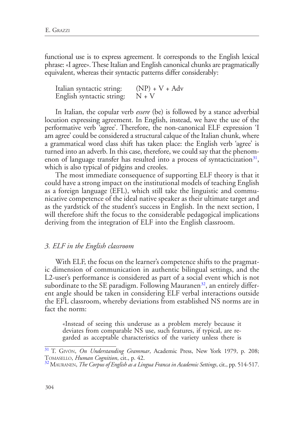functional use is to express agreement. It corresponds to the English lexical phrase: «I agree». These Italian and English canonical chunks are pragmatically equivalent, whereas their syntactic patterns differ considerably:

| Italian syntactic string: | $(NP) + V + Adv$ |
|---------------------------|------------------|
| English syntactic string: | $N + V$          |

In Italian, the copular verb *essere* (be) is followed by a stance adverbial locution expressing agreement. In English, instead, we have the use of the performative verb 'agree'. Therefore, the non-canonical ELF expression 'I am agree' could be considered a structural calque of the Italian chunk, where a grammatical word class shift has taken place: the English verb 'agree' is turned into an adverb. In this case, therefore, we could say that the phenomenon of language transfer has resulted into a process of syntacticization $31$ , which is also typical of pidgins and creoles.

<span id="page-11-2"></span>The most immediate consequence of supporting ELF theory is that it could have a strong impact on the institutional models of teaching English as a foreign language (EFL), which still take the linguistic and communicative competence of the ideal native speaker as their ultimate target and as the yardstick of the student's success in English. In the next section, I will therefore shift the focus to the considerable pedagogical implications deriving from the integration of ELF into the English classroom.

#### *3. ELF in the English classroom*

<span id="page-11-3"></span>With ELF, the focus on the learner's competence shifts to the pragmatic dimension of communication in authentic bilingual settings, and the L2-user's performance is considered as part of a social event which is not subordinate to the SE paradigm. Following Mauranen<sup>32</sup>, an entirely different angle should be taken in considering ELF verbal interactions outside the EFL classroom, whereby deviations from established NS norms are in fact the norm:

«Instead of seeing this underuse as a problem merely because it garded as acceptable characteristics of the variety unless there is

<span id="page-11-0"></span>[<sup>31</sup>](#page-11-2) T. Givón, *On Understanding Grammar*, Academic Press, New York 1979, p. 208; Tomasello, *Human Cognition*, cit., p. 42. [32](#page-11-3) Mauranen, *The Corpus of English as a Lingua Franca in Academic Settings*, cit., pp. 514-517.

<span id="page-11-1"></span>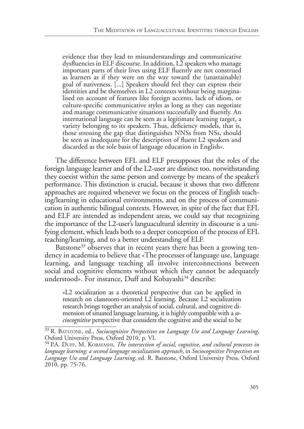evidence that they lead to misunderstandings and communicative dysfluencies in ELF discourse. In addition, L2 speakers who manage important parts of their lives using ELF fluently are not construed as learners as if they were on the way toward the (unattainable) goal of nativeness. [...] Speakers should feel they can express their identities and be themselves in L2 contexts without being marginalised on account of features like foreign accents, lack of idiom, or culture-specific communicative styles as long as they can negotiate and manage communicative situations successfully and fluently. An international language can be seen as a legitimate learning target, a variety belonging to its speakers. Thus, deficiency models, that is, those stressing the gap that distinguishes NNSs from NSs, should be seen as inadequate for the description of fluent L2 speakers and discarded as the sole basis of language education in English».

The difference between EFL and ELF presupposes that the roles of the foreign language learner and of the L2-user are distinct too, notwithstanding they coexist within the same person and converge by means of the speaker's performance. This distinction is crucial, because it shows that two different approaches are required whenever we focus on the process of English teaching/learning in educational environments, and on the process of communication in authentic bilingual contexts. However, in spite of the fact that EFL and ELF are intended as independent areas, we could say that recognizing the importance of the L2-user's languacultural identity in discourse is a unifying element, which leads both to a deeper conception of the process of EFL teaching/learning, and to a better understanding of ELF.

<span id="page-12-2"></span>Batstone<sup>[33](#page-12-0)</sup> observes that in recent years there has been a growing tendency in academia to believe that «The processes of language use, language learning, and language teaching all involve interconnections between social and cognitive elements without which they cannot be adequately understood». For instance, Duff and Kobayashi<sup>34</sup> describe:

<span id="page-12-3"></span>«L2 socialization as a theoretical perspective that can be applied in research on classroom-oriented L2 learning. Because L2 socialization research brings together an analysis of social, cultural, and cognitive dimension of situated language learning, it is highly compatible with a *sociocognitive* perspective that considers the cognitive and the social to be

<span id="page-12-0"></span>[<sup>33</sup>](#page-12-2) R. Batstone, ed., *Sociocognitive Perspectives on Language Use and Language Learning*, Oxford University Press, Oxford 2010, p. VI.

<span id="page-12-1"></span><sup>&</sup>lt;sup>[34](#page-12-3)</sup> P.A. DUFF, M. KOBAYASHI, *The intersection of social, cognitive, and cultural processes in language learning: a second language socialization approach*, in *Sociocognitive Perspectives on Language Use and Language Learning*, ed. R. Batstone, Oxford University Press, Oxford 2010, pp. 75-76.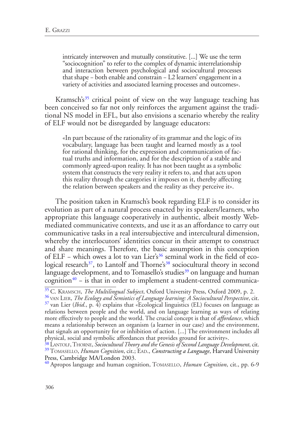intricately interwoven and mutually constitutive. [...] We use the term "sociocognition" to refer to the complex of dynamic interrelationship and interaction between psychological and sociocultural processes that shape − both enable and constrain − L2 learners' engagement in a variety of activities and associated learning processes and outcomes».

<span id="page-13-6"></span>Kramsch's<sup>35</sup> critical point of view on the way language teaching has been conceived so far not only reinforces the argument against the traditional NS model in EFL, but also envisions a scenario whereby the reality of ELF would not be disregarded by language educators:

«In part because of the rationality of its grammar and the logic of its vocabulary, language has been taught and learned mostly as a tool for rational thinking, for the expression and communication of fac- tual truths and information, and for the description of a stable and commonly agreed-upon reality. It has not been taught as a symbolic system that constructs the very reality it refers to, and that acts upon this reality through the categories it imposes on it, thereby affecting the relation between speakers and the reality as they perceive it».

The position taken in Kramsch's book regarding ELF is to consider its evolution as part of a natural process enacted by its speakers/learners, who appropriate this language cooperatively in authentic, albeit mostly Webmediated communicative contexts, and use it as an affordance to carry out communicative tasks in a real intersubjective and intercultural dimension, whereby the interlocutors' identities concur in their attempt to construct and share meanings. Therefore, the basic assumption in this conception of ELF – which owes a lot to van Lier's<sup>36</sup> seminal work in the field of ecological research<sup>37</sup>, to Lantolf and Thorne's<sup>38</sup> sociocultural theory in second language development, and to Tomasello's studies<sup>39</sup> on language and human cognition<sup>[40](#page-13-5)</sup> – is that in order to implement a student-centred communica-

<span id="page-13-11"></span><span id="page-13-10"></span><span id="page-13-2"></span><span id="page-13-1"></span><span id="page-13-0"></span>[35](#page-13-6) C. Kramsch, *The Multilingual Subject*, Oxford University Press, Oxford 2009, p. 2. [36](#page-13-7) van Lier, *The Ecology and Semiotics of Language learning: A Sociocultural Perspective*, cit.  $37$  van Lier (*Ibid.*, p.  $\overline{4}$ ) explains that «Ecological linguistics (EL) focuses on language as relations between people and the world, and on language learning as ways of relating more effectively to people and the world. The crucial concept is that of *affordance*, which means a relationship between an organism (a learner in our case) and the environment, that signals an opportunity for or inhibition of action. [...] The environment includes all physical, social and symbolic affordances that provides ground for activity».

<span id="page-13-5"></span>[40](#page-13-11) Apropos language and human cognition, Tomasello, *Human Cognition*, cit., pp. 6-9

<span id="page-13-9"></span><span id="page-13-8"></span><span id="page-13-7"></span>

<span id="page-13-4"></span><span id="page-13-3"></span>[<sup>38</sup>](#page-13-9) Lantolf, Thorne, *Sociocultural Theory and the Genesis of Second Language Development*, cit. <sup>[39](#page-13-10)</sup> TOMASELLO, *Human Cognition*, cit.; EAD., *Constructing a Language*, Harvard University Press, Cambridge MA/London 2003.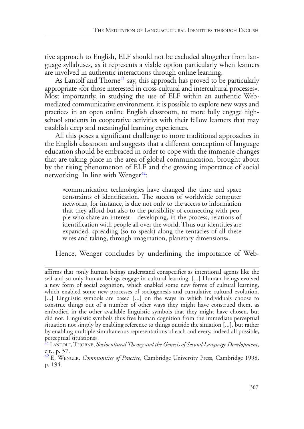tive approach to English, ELF should not be excluded altogether from language syllabuses, as it represents a viable option particularly when learners are involved in authentic interactions through online learning.

<span id="page-14-2"></span>As Lantolf and Thorne<sup>[41](#page-14-0)</sup> say, this approach has proved to be particularly appropriate «for those interested in cross-cultural and intercultural processes». Most importantly, in studying the use of ELF within an authentic Webmediated communicative environment, it is possible to explore new ways and practices in an open online English classroom, to more fully engage highschool students in cooperative activities with their fellow learners that may establish deep and meaningful learning experiences.

All this poses a significant challenge to more traditional approaches in the English classroom and suggests that a different conception of language education should be embraced in order to cope with the immense changes that are taking place in the area of global communication, brought about by the rising phenomenon of ELF and the growing importance of social networking. In line with Wenger $42$ :

<span id="page-14-3"></span>«communication technologies have changed the time and space constraints of identification. The success of worldwide computer networks, for instance, is due not only to the access to information that they afford but also to the possibility of connecting with people who share an interest − developing, in the process, relations of identification with people all over the world. Thus our identities are expanded, spreading (so to speak) along the tentacles of all these wires and taking, through imagination, planetary dimensions».

Hence, Wenger concludes by underlining the importance of Web-

affirms that «only human beings understand conspecifics as intentional agents like the self and so only human beings engage in cultural learning. [...] Human beings evolved a new form of social cognition, which enabled some new forms of cultural learning, which enabled some new processes of sociogenesis and cumulative cultural evolution. [...] Linguistic symbols are based [...] on the ways in which individuals choose to construe things out of a number of other ways they might have construed them, as embodied in the other available linguistic symbols that they might have chosen, but did not. Linguistic symbols thus free human cognition from the immediate perceptual situation not simply by enabling reference to things outside the situation [...], but rather by enabling multiple simultaneous representations of each and every, indeed all possible, perceptual situations».

<span id="page-14-0"></span>[<sup>41</sup>](#page-14-2)Lantolf, Thorne, *Sociocultural Theory and the Genesis of Second Language Development*, cit., p. 57.

<span id="page-14-1"></span>[<sup>42</sup>](#page-14-3) E. Wenger, *Communities of Practice*, Cambridge University Press, Cambridge 1998, p. 194.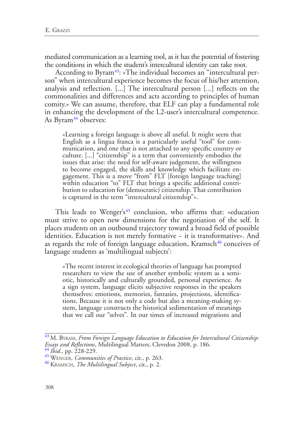mediated communication as a learning tool, as it has the potential of fostering the conditions in which the student's intercultural identity can take root.

<span id="page-15-4"></span>According to Byram<sup>43</sup>: «The individual becomes an "intercultural person" when intercultural experience becomes the focus of his/her attention, analysis and reflection. [...] The intercultural person [...] reflects on the commonalities and differences and acts according to principles of human comity.» We can assume, therefore, that ELF can play a fundamental role in enhancing the development of the L2-user's intercultural competence. As Byram<sup>44</sup> observes:

<span id="page-15-5"></span>«Learning a foreign language is above all useful. It might seem that English as a lingua franca is a particularly useful "tool" for com- munication, and one that is not attached to any specific country or culture. [...] "citizenship" is a term that conveniently embodies the issues that arise: the need for self-aware judgement, the willingness gagement. This is a move "from" FLT [foreign language teaching]<br>within education "to" FLT that brings a specific additional contribution to education for (democratic) citizenship. That contribution is captured in the term "intercultural citizenship"».

<span id="page-15-7"></span><span id="page-15-6"></span>This leads to Wenger's<sup>[45](#page-15-2)</sup> conclusion, who affirms that: «education must strive to open new dimensions for the negotiation of the self. It places students on an outbound trajectory toward a broad field of possible identities. Education is not merely formative − it is transformative». And as regards the role of foreign language education, Kramsch<sup>46</sup> conceives of language students as 'multilingual subjects':

«The recent interest in ecological theories of language has prompted researchers to view the use of another symbolic system as a semiotic, historically and culturally grounded, personal experience. As a sign system, language elicits subjective responses in the speakers themselves: emotions, memories, fantasies, projections, identifications. Because it is not only a code but also a meaning-making system, language constructs the historical sedimentation of meanings that we call our "selves". In our times of increased migrations and

<span id="page-15-0"></span>[<sup>43</sup>](#page-15-4) M. Byram, *From Foreign Language Education to Education for Intercultural Citizenship: Essays and Reflections*, Multilingual Matters, Clevedon 2008, p. 186. [44](#page-15-5) *Ibid*., pp. 228-229. [45](#page-15-6) Wenger, *Communities of Practice*, cit., p. 263. [46](#page-15-7) Kramsch, *The Multilingual Subject*, cit., p. 2.

<span id="page-15-2"></span><span id="page-15-1"></span>

<span id="page-15-3"></span>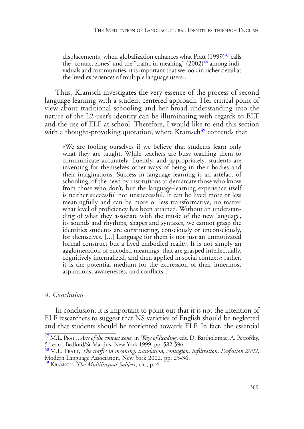<span id="page-16-4"></span><span id="page-16-3"></span>displacements, when globalization enhances what Pratt  $(1999)^{47}$  $(1999)^{47}$  $(1999)^{47}$  calls<br>the "contact zones" and the "traffic in meaning"  $(2002)^{48}$  among individuals and communities, it is important that we look in richer detail at the lived experiences of multiple language users».

Thus, Kramsch investigates the very essence of the process of second language learning with a student centered approach. Her critical point of view about traditional schooling and her broad understanding into the nature of the L2-user's identity can be illuminating with regards to ELT and the use of ELF at school. Therefore, I would like to end this section with a thought-provoking quotation, where Kramsch<sup>49</sup> contends that

<span id="page-16-5"></span>«We are fooling ourselves if we believe that students learn only what they are taught. While teachers are busy teaching them to communicate accurately, fluently, and appropriately, students are inventing for themselves other ways of being in their bodies and their imaginations. Success in language learning is an artefact of schooling, of the need by institutions to demarcate those who know from those who don't, but the language-learning experience itself is neither successful nor unsuccessful. It can be lived more or less meaningfully and can be more or less transformative, no matter what level of proficiency has been attained. Without an understan- ding of what they associate with the music of the new language, its sounds and rhythms, shapes and syntaxes, we cannot grasp the identities students are constructing, consciously or unconsciously, for themselves. [...] Language for them is not just an unmotivated formal construct but a lived embodied reality. It is not simply an agglomeration of encoded meanings, that are grasped intellectually, cognitively internalized, and then applied in social contexts; rather, it is the potential medium for the expression of their innermost aspirations, awarenesses, and conflicts».

### *4. Conclusion*

In conclusion, it is important to point out that it is not the intention of ELF researchers to suggest that NS varieties of English should be neglected and that students should be reoriented towards ELF. In fact, the essential

<span id="page-16-0"></span><sup>&</sup>lt;sup>[47](#page-16-3)</sup> M.L. PRATT, *Arts of the contact zone*, in *Ways of Reading*, eds. D. Bartholomae, A. Petrofsky, 5<sup>th</sup> edn., Bedford/St Martin's, New York 1999, pp. 582-596.

<span id="page-16-1"></span><sup>5</sup>th edn., Bedford/St Martin's, New York 1999, pp. 582-596. [48](#page-16-4) M.L. Pratt, *The traffic in meaning: translation, contagion, infiltration*. *Profession 2002*, Modern Language Association, New York 2002, pp. 25-36.

<span id="page-16-2"></span>[<sup>49</sup>](#page-16-5) Kramsch, *The Multilingual Subject*, cit., p. 4.